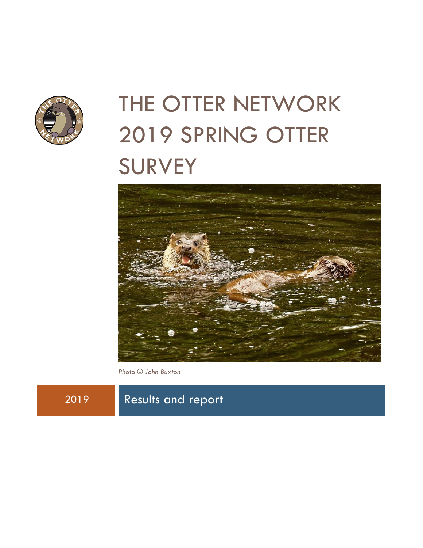

# THE OTTER NETWORK 2019 SPRING OTTER **SURVEY**



*Photo © John Buxton*

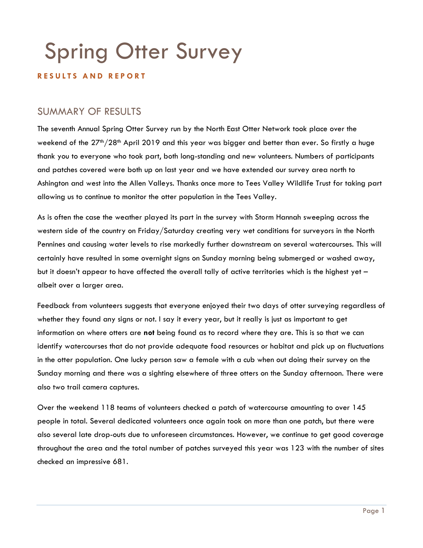## Spring Otter Survey

#### **R E S U L T S A N D R E P O R T**

## SUMMARY OF RESULTS

The seventh Annual Spring Otter Survey run by the North East Otter Network took place over the weekend of the 27<sup>th</sup>/28<sup>th</sup> April 2019 and this year was bigger and better than ever. So firstly a huge thank you to everyone who took part, both long-standing and new volunteers. Numbers of participants and patches covered were both up on last year and we have extended our survey area north to Ashington and west into the Allen Valleys. Thanks once more to Tees Valley Wildlife Trust for taking part allowing us to continue to monitor the otter population in the Tees Valley.

As is often the case the weather played its part in the survey with Storm Hannah sweeping across the western side of the country on Friday/Saturday creating very wet conditions for surveyors in the North Pennines and causing water levels to rise markedly further downstream on several watercourses. This will certainly have resulted in some overnight signs on Sunday morning being submerged or washed away, but it doesn't appear to have affected the overall tally of active territories which is the highest yet – albeit over a larger area.

Feedback from volunteers suggests that everyone enjoyed their two days of otter surveying regardless of whether they found any signs or not. I say it every year, but it really is just as important to get information on where otters are **not** being found as to record where they are. This is so that we can identify watercourses that do not provide adequate food resources or habitat and pick up on fluctuations in the otter population. One lucky person saw a female with a cub when out doing their survey on the Sunday morning and there was a sighting elsewhere of three otters on the Sunday afternoon. There were also two trail camera captures.

Over the weekend 118 teams of volunteers checked a patch of watercourse amounting to over 145 people in total. Several dedicated volunteers once again took on more than one patch, but there were also several late drop-outs due to unforeseen circumstances. However, we continue to get good coverage throughout the area and the total number of patches surveyed this year was 123 with the number of sites checked an impressive 681.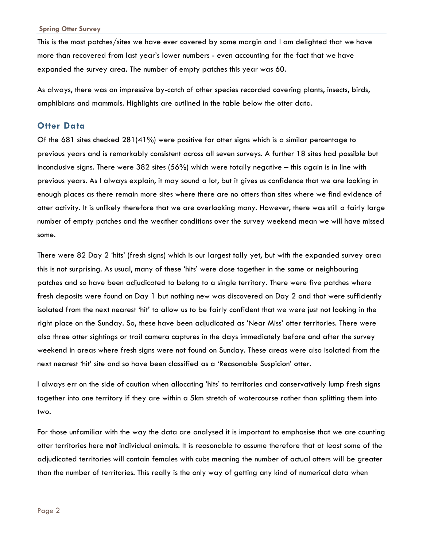This is the most patches/sites we have ever covered by some margin and I am delighted that we have more than recovered from last year's lower numbers - even accounting for the fact that we have expanded the survey area. The number of empty patches this year was 60.

As always, there was an impressive by-catch of other species recorded covering plants, insects, birds, amphibians and mammals. Highlights are outlined in the table below the otter data.

#### **Otter Data**

Of the 681 sites checked 281(41%) were positive for otter signs which is a similar percentage to previous years and is remarkably consistent across all seven surveys. A further 18 sites had possible but inconclusive signs. There were 382 sites (56%) which were totally negative – this again is in line with previous years. As I always explain, it may sound a lot, but it gives us confidence that we are looking in enough places as there remain more sites where there are no otters than sites where we find evidence of otter activity. It is unlikely therefore that we are overlooking many. However, there was still a fairly large number of empty patches and the weather conditions over the survey weekend mean we will have missed some.

There were 82 Day 2 'hits' (fresh signs) which is our largest tally yet, but with the expanded survey area this is not surprising. As usual, many of these 'hits' were close together in the same or neighbouring patches and so have been adjudicated to belong to a single territory. There were five patches where fresh deposits were found on Day 1 but nothing new was discovered on Day 2 and that were sufficiently isolated from the next nearest 'hit' to allow us to be fairly confident that we were just not looking in the right place on the Sunday. So, these have been adjudicated as 'Near Miss' otter territories. There were also three otter sightings or trail camera captures in the days immediately before and after the survey weekend in areas where fresh signs were not found on Sunday. These areas were also isolated from the next nearest 'hit' site and so have been classified as a 'Reasonable Suspicion' otter.

I always err on the side of caution when allocating 'hits' to territories and conservatively lump fresh signs together into one territory if they are within a 5km stretch of watercourse rather than splitting them into two.

For those unfamiliar with the way the data are analysed it is important to emphasise that we are counting otter territories here **not** individual animals. It is reasonable to assume therefore that at least some of the adjudicated territories will contain females with cubs meaning the number of actual otters will be greater than the number of territories. This really is the only way of getting any kind of numerical data when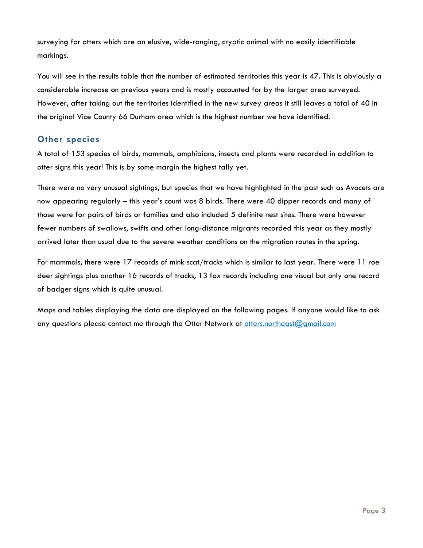surveying for otters which are an elusive, wide-ranging, cryptic animal with no easily identifiable markings.

You will see in the results table that the number of estimated territories this year is 47. This is obviously a considerable increase on previous years and is mostly accounted for by the larger area surveyed. However, after taking out the territories identified in the new survey areas it still leaves a total of 40 in the original Vice County 66 Durham area which is the highest number we have identified.

## **Other species**

A total of 153 species of birds, mammals, amphibians, insects and plants were recorded in addition to otter signs this year! This is by some margin the highest tally yet.

There were no very unusual sightings, but species that we have highlighted in the past such as Avocets are now appearing regularly – this year's count was 8 birds. There were 40 dipper records and many of those were for pairs of birds or families and also included 5 definite nest sites. There were however fewer numbers of swallows, swifts and other long-distance migrants recorded this year as they mostly arrived later than usual due to the severe weather conditions on the migration routes in the spring.

For mammals, there were 17 records of mink scat/tracks which is similar to last year. There were 11 roe deer sightings plus another 16 records of tracks, 13 fox records including one visual but only one record of badger signs which is quite unusual.

Maps and tables displaying the data are displayed on the following pages. If anyone would like to ask any questions please contact me through the Otter Network at [otters.northeast@gmail.com](mailto:otters.northeast@gmail.com)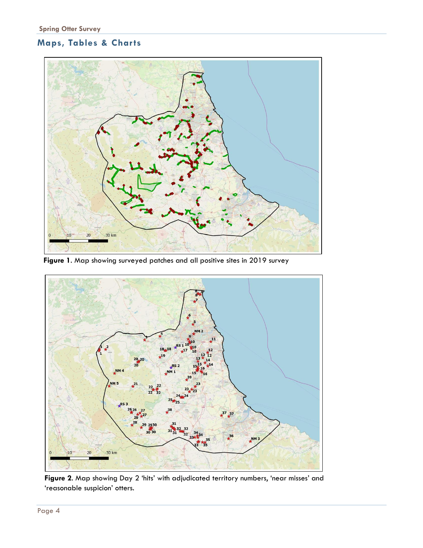## **Maps, Tables & Charts**



**Figure 1**. Map showing surveyed patches and all positive sites in 2019 survey



**Figure 2**. Map showing Day 2 'hits' with adjudicated territory numbers, 'near misses' and 'reasonable suspicion' otters.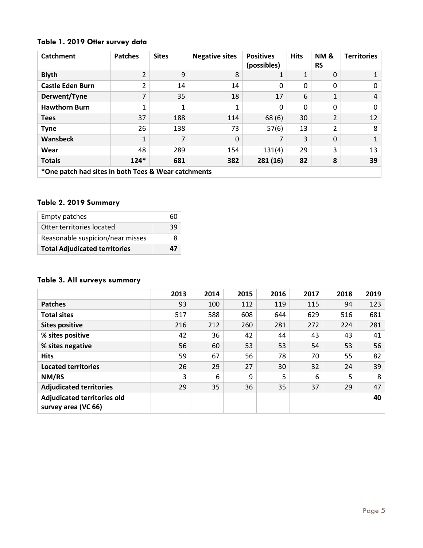## **Table 1. 2019 Otter survey data**

| <b>Catchment</b>                                    | <b>Patches</b>           | <b>Sites</b> | <b>Negative sites</b> | <b>Positives</b><br>(possibles) | <b>Hits</b> | <b>NM &amp;</b><br><b>RS</b> | <b>Territories</b> |
|-----------------------------------------------------|--------------------------|--------------|-----------------------|---------------------------------|-------------|------------------------------|--------------------|
| <b>Blyth</b>                                        | $\overline{2}$           | 9            | 8                     |                                 | 1           | 0                            |                    |
| <b>Castle Eden Burn</b>                             | $\overline{2}$           | 14           | 14                    | 0                               | 0           | 0                            | $\mathbf{0}$       |
| Derwent/Tyne                                        | $\overline{\phantom{a}}$ | 35           | 18                    | 17                              | 6           | 1                            | 4                  |
| <b>Hawthorn Burn</b>                                | 1                        | 1            | 1                     | 0                               | 0           | 0                            | $\Omega$           |
| <b>Tees</b>                                         | 37                       | 188          | 114                   | 68(6)                           | 30          | $\overline{2}$               | 12                 |
| <b>Tyne</b>                                         | 26                       | 138          | 73                    | 57(6)                           | 13          | 2                            | 8                  |
| Wansbeck                                            | $\mathbf{1}$             | 7            | $\Omega$              |                                 | 3           | 0                            | $\mathbf{1}$       |
| Wear                                                | 48                       | 289          | 154                   | 131(4)                          | 29          | 3                            | 13                 |
| <b>Totals</b>                                       | $124*$                   | 681          | 382                   | 281(16)                         | 82          | 8                            | 39                 |
| *One patch had sites in both Tees & Wear catchments |                          |              |                       |                                 |             |                              |                    |

#### **Table 2. 2019 Summary**

| <b>Empty patches</b>                 | 60 |
|--------------------------------------|----|
| Otter territories located            | 39 |
| Reasonable suspicion/near misses     | x  |
| <b>Total Adjudicated territories</b> | 47 |

## **Table 3. All surveys summary**

|                                                           | 2013 | 2014 | 2015 | 2016 | 2017 | 2018 | 2019 |
|-----------------------------------------------------------|------|------|------|------|------|------|------|
| <b>Patches</b>                                            | 93   | 100  | 112  | 119  | 115  | 94   | 123  |
| <b>Total sites</b>                                        | 517  | 588  | 608  | 644  | 629  | 516  | 681  |
| <b>Sites positive</b>                                     | 216  | 212  | 260  | 281  | 272  | 224  | 281  |
| % sites positive                                          | 42   | 36   | 42   | 44   | 43   | 43   | 41   |
| % sites negative                                          | 56   | 60   | 53   | 53   | 54   | 53   | 56   |
| <b>Hits</b>                                               | 59   | 67   | 56   | 78   | 70   | 55   | 82   |
| <b>Located territories</b>                                | 26   | 29   | 27   | 30   | 32   | 24   | 39   |
| NM/RS                                                     | 3    | 6    | 9    | 5    | 6    | 5    | 8    |
| <b>Adjudicated territories</b>                            | 29   | 35   | 36   | 35   | 37   | 29   | 47   |
| <b>Adjudicated territories old</b><br>survey area (VC 66) |      |      |      |      |      |      | 40   |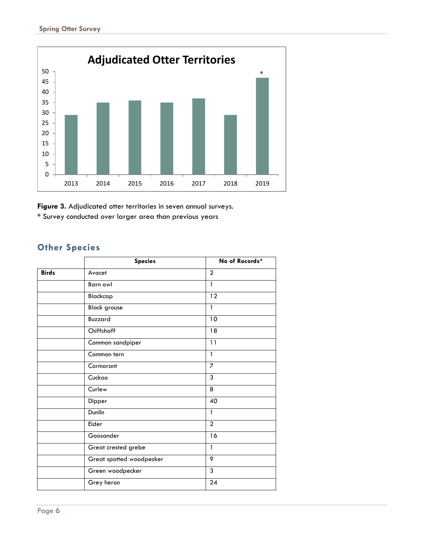

**Figure 3.** Adjudicated otter territories in seven annual surveys. **\*** Survey conducted over larger area than previous years

## **Other Species**

|              | <b>Species</b>           | No of Records* |  |  |
|--------------|--------------------------|----------------|--|--|
| <b>Birds</b> | Avocet                   | $\overline{2}$ |  |  |
|              | Barn owl                 | $\mathbf{1}$   |  |  |
|              | Blackcap                 | 12             |  |  |
|              | <b>Black grouse</b>      | $\mathbf{1}$   |  |  |
|              | Buzzard                  | 10             |  |  |
|              | Chiffchaff               | 18             |  |  |
|              | Common sandpiper         | 11             |  |  |
|              | Common tern              | 1              |  |  |
|              | Cormorant                | $\overline{7}$ |  |  |
|              | Cuckoo                   | $\overline{3}$ |  |  |
|              | Curlew                   | 8              |  |  |
|              | Dipper                   | 40             |  |  |
|              | Dunlin                   | $\mathbf{1}$   |  |  |
|              | Eider                    | $\overline{2}$ |  |  |
|              | Goosander                | 16             |  |  |
|              | Great crested grebe      | $\mathbf{1}$   |  |  |
|              | Great spotted woodpecker | 9              |  |  |
|              | Green woodpecker         | $\overline{3}$ |  |  |
|              | Grey heron               | 24             |  |  |
|              |                          |                |  |  |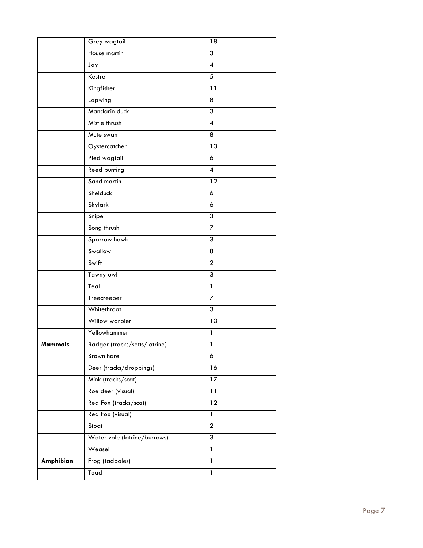|                | Grey wagtail                  | 18               |
|----------------|-------------------------------|------------------|
|                | House martin                  | $\overline{3}$   |
|                | Jay                           | $\overline{4}$   |
|                | Kestrel                       | 5                |
|                | Kingfisher                    | 11               |
|                | Lapwing                       | 8                |
|                | Mandarin duck                 | $\mathfrak{3}$   |
|                | Mistle thrush                 | $\boldsymbol{4}$ |
|                | Mute swan                     | 8                |
|                | Oystercatcher                 | 13               |
|                | Pied wagtail                  | 6                |
|                | Reed bunting                  | $\overline{4}$   |
|                | Sand martin                   | 12               |
|                | Shelduck                      | 6                |
|                | Skylark                       | 6                |
|                | Snipe                         | 3                |
|                | Song thrush                   | $\overline{7}$   |
|                | Sparrow hawk                  | 3                |
|                | Swallow                       | $\overline{8}$   |
|                | Swift                         | $\overline{2}$   |
|                | Tawny owl                     | $\overline{3}$   |
|                | Teal                          | $\mathbf{1}$     |
|                | Treecreeper                   | 7                |
|                | Whitethroat                   | $\overline{3}$   |
|                | Willow warbler                | $10$             |
|                | Yellowhammer                  | $\mathbf{1}$     |
| <b>Mammals</b> | Badger (tracks/setts/latrine) | $\mathbf{1}$     |
|                | <b>Brown hare</b>             | 6                |
|                | Deer (tracks/droppings)       | $\overline{16}$  |
|                | Mink (tracks/scat)            | 17               |
|                | Roe deer (visual)             | 11               |
|                | Red Fox (tracks/scat)         | 12               |
|                | Red Fox (visual)              | $\overline{1}$   |
|                | Stoat                         | $\overline{a}$   |
|                | Water vole (latrine/burrows)  | 3                |
|                | Weasel                        | 1                |
| Amphibian      | Frog (tadpoles)               | $\overline{1}$   |
|                | Toad                          | $\mathbf{1}$     |